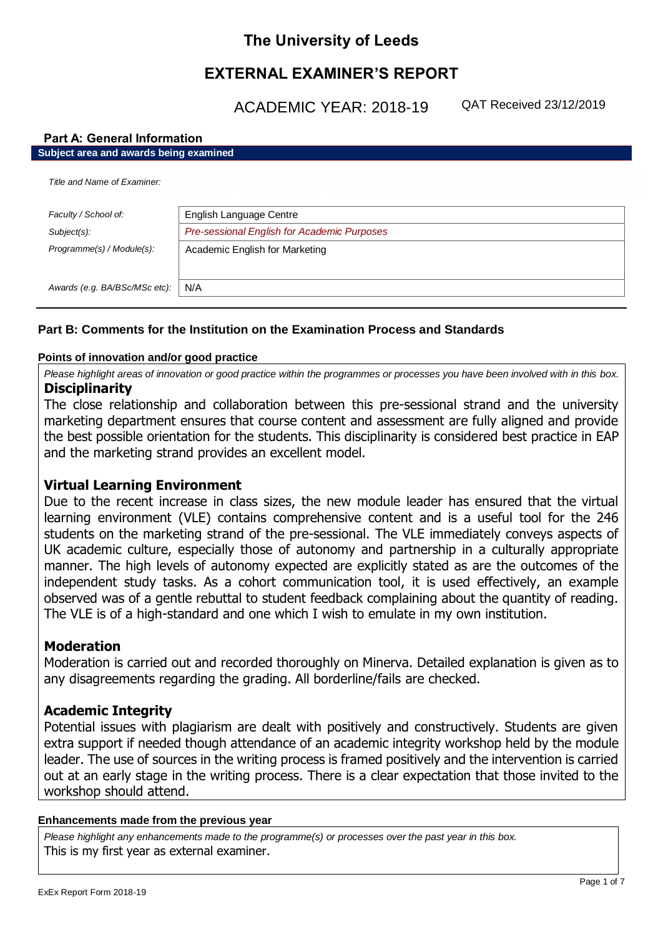# **The University of Leeds**

# **EXTERNAL EXAMINER'S REPORT**

ACADEMIC YEAR: 2018-19

QAT Received 23/12/2019

### **Part A: General Information**

| Subject area and awards being examined |                                             |  |
|----------------------------------------|---------------------------------------------|--|
| Title and Name of Examiner:            |                                             |  |
| Faculty / School of:                   | English Language Centre                     |  |
| $Subject(s)$ :                         | Pre-sessional English for Academic Purposes |  |
| Programme(s) / Module(s):              | Academic English for Marketing              |  |
| Awards (e.g. BA/BSc/MSc etc):          | N/A                                         |  |

# **Part B: Comments for the Institution on the Examination Process and Standards**

### **Points of innovation and/or good practice**

*Please highlight areas of innovation or good practice within the programmes or processes you have been involved with in this box.* **Disciplinarity**

The close relationship and collaboration between this pre-sessional strand and the university marketing department ensures that course content and assessment are fully aligned and provide the best possible orientation for the students. This disciplinarity is considered best practice in EAP and the marketing strand provides an excellent model.

# **Virtual Learning Environment**

Due to the recent increase in class sizes, the new module leader has ensured that the virtual learning environment (VLE) contains comprehensive content and is a useful tool for the 246 students on the marketing strand of the pre-sessional. The VLE immediately conveys aspects of UK academic culture, especially those of autonomy and partnership in a culturally appropriate manner. The high levels of autonomy expected are explicitly stated as are the outcomes of the independent study tasks. As a cohort communication tool, it is used effectively, an example observed was of a gentle rebuttal to student feedback complaining about the quantity of reading. The VLE is of a high-standard and one which I wish to emulate in my own institution.

# **Moderation**

Moderation is carried out and recorded thoroughly on Minerva. Detailed explanation is given as to any disagreements regarding the grading. All borderline/fails are checked.

# **Academic Integrity**

Potential issues with plagiarism are dealt with positively and constructively. Students are given extra support if needed though attendance of an academic integrity workshop held by the module leader. The use of sources in the writing process is framed positively and the intervention is carried out at an early stage in the writing process. There is a clear expectation that those invited to the workshop should attend.

### **Enhancements made from the previous year**

*Please highlight any enhancements made to the programme(s) or processes over the past year in this box.* This is my first year as external examiner.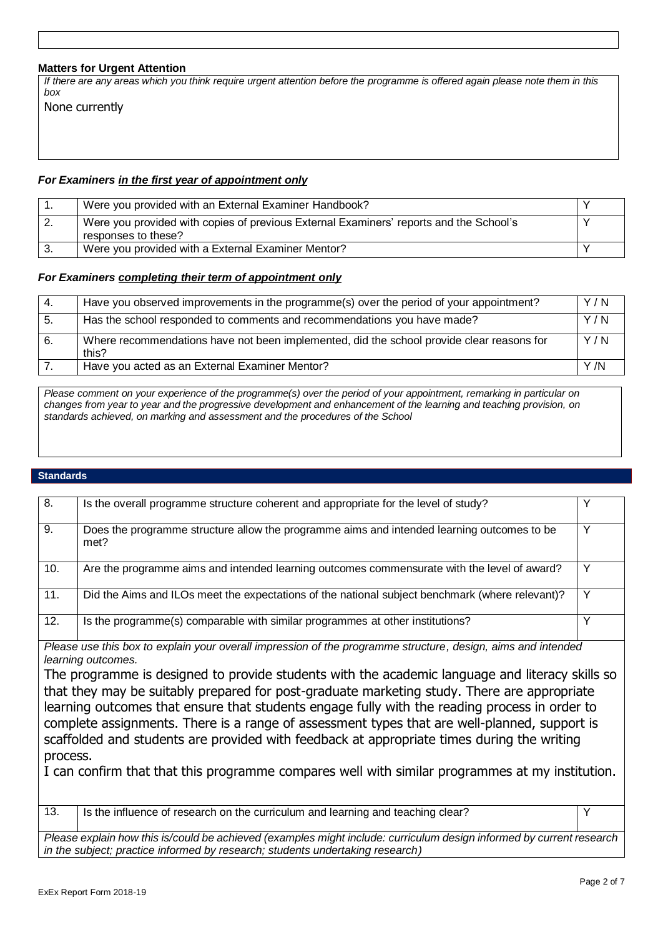### **Matters for Urgent Attention**

*If there are any areas which you think require urgent attention before the programme is offered again please note them in this box*

None currently

### *For Examiners in the first year of appointment only*

| Were you provided with an External Examiner Handbook?                                                         |  |
|---------------------------------------------------------------------------------------------------------------|--|
| Were you provided with copies of previous External Examiners' reports and the School's<br>responses to these? |  |
| Were you provided with a External Examiner Mentor?                                                            |  |

### *For Examiners completing their term of appointment only*

| -4. | Have you observed improvements in the programme(s) over the period of your appointment?            | Y/N |
|-----|----------------------------------------------------------------------------------------------------|-----|
| -5. | Has the school responded to comments and recommendations you have made?                            | Y/N |
| 6.  | Where recommendations have not been implemented, did the school provide clear reasons for<br>this? | Y/N |
|     | Have you acted as an External Examiner Mentor?                                                     | Y/N |

*Please comment on your experience of the programme(s) over the period of your appointment, remarking in particular on changes from year to year and the progressive development and enhancement of the learning and teaching provision, on standards achieved, on marking and assessment and the procedures of the School*

### **Standards**

| 8.  | Is the overall programme structure coherent and appropriate for the level of study?                |             |
|-----|----------------------------------------------------------------------------------------------------|-------------|
| 9.  | Does the programme structure allow the programme aims and intended learning outcomes to be<br>met? | $\check{ }$ |
| 10. | Are the programme aims and intended learning outcomes commensurate with the level of award?        |             |
| 11. | Did the Aims and ILOs meet the expectations of the national subject benchmark (where relevant)?    |             |
| 12. | Is the programme(s) comparable with similar programmes at other institutions?                      |             |

*Please use this box to explain your overall impression of the programme structure, design, aims and intended learning outcomes.*

The programme is designed to provide students with the academic language and literacy skills so that they may be suitably prepared for post-graduate marketing study. There are appropriate learning outcomes that ensure that students engage fully with the reading process in order to complete assignments. There is a range of assessment types that are well-planned, support is scaffolded and students are provided with feedback at appropriate times during the writing process.

I can confirm that that this programme compares well with similar programmes at my institution.

13. Is the influence of research on the curriculum and learning and teaching clear?

*Please explain how this is/could be achieved (examples might include: curriculum design informed by current research in the subject; practice informed by research; students undertaking research)*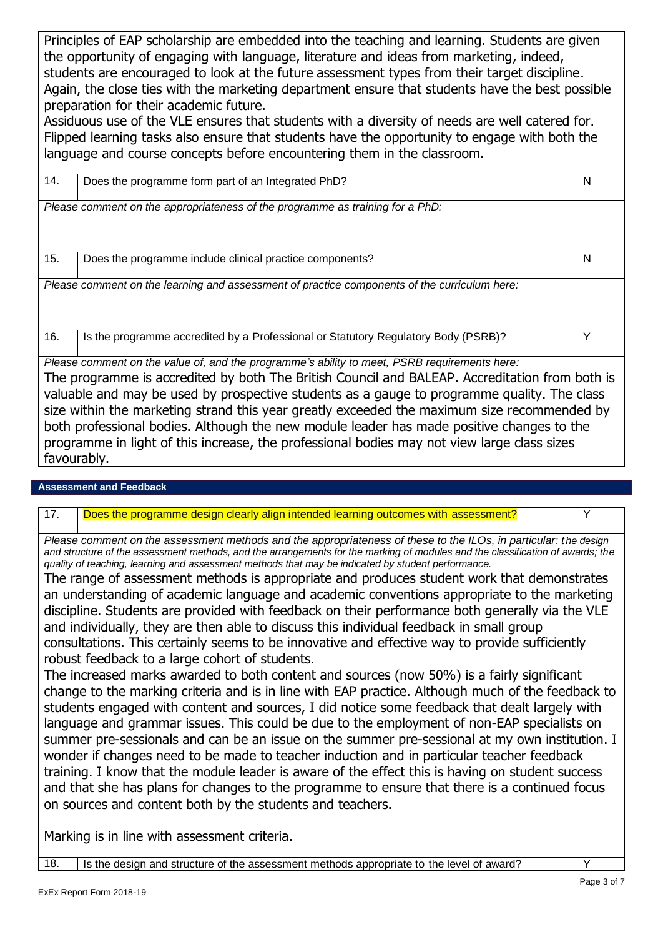Principles of EAP scholarship are embedded into the teaching and learning. Students are given the opportunity of engaging with language, literature and ideas from marketing, indeed, students are encouraged to look at the future assessment types from their target discipline. Again, the close ties with the marketing department ensure that students have the best possible preparation for their academic future.

Assiduous use of the VLE ensures that students with a diversity of needs are well catered for. Flipped learning tasks also ensure that students have the opportunity to engage with both the language and course concepts before encountering them in the classroom.

| 14. | Does the programme form part of an Integrated PhD?                                                                                                                                                                                                                                                                                                                                                                                                                                                                                                                                       | N |
|-----|------------------------------------------------------------------------------------------------------------------------------------------------------------------------------------------------------------------------------------------------------------------------------------------------------------------------------------------------------------------------------------------------------------------------------------------------------------------------------------------------------------------------------------------------------------------------------------------|---|
|     | Please comment on the appropriateness of the programme as training for a PhD:                                                                                                                                                                                                                                                                                                                                                                                                                                                                                                            |   |
|     |                                                                                                                                                                                                                                                                                                                                                                                                                                                                                                                                                                                          |   |
| 15. | Does the programme include clinical practice components?                                                                                                                                                                                                                                                                                                                                                                                                                                                                                                                                 | N |
|     | Please comment on the learning and assessment of practice components of the curriculum here:                                                                                                                                                                                                                                                                                                                                                                                                                                                                                             |   |
|     |                                                                                                                                                                                                                                                                                                                                                                                                                                                                                                                                                                                          |   |
| 16. | Is the programme accredited by a Professional or Statutory Regulatory Body (PSRB)?                                                                                                                                                                                                                                                                                                                                                                                                                                                                                                       | Y |
|     | Please comment on the value of, and the programme's ability to meet, PSRB requirements here:<br>The programme is accredited by both The British Council and BALEAP. Accreditation from both is<br>valuable and may be used by prospective students as a gauge to programme quality. The class<br>size within the marketing strand this year greatly exceeded the maximum size recommended by<br>both professional bodies. Although the new module leader has made positive changes to the<br>programme in light of this increase, the professional bodies may not view large class sizes |   |

# **Assessment and Feedback**

favourably.

17. **Does the programme design clearly align intended learning outcomes with assessment?** Y

*Please comment on the assessment methods and the appropriateness of these to the ILOs, in particular: the design and structure of the assessment methods, and the arrangements for the marking of modules and the classification of awards; the quality of teaching, learning and assessment methods that may be indicated by student performance.*

The range of assessment methods is appropriate and produces student work that demonstrates an understanding of academic language and academic conventions appropriate to the marketing discipline. Students are provided with feedback on their performance both generally via the VLE and individually, they are then able to discuss this individual feedback in small group consultations. This certainly seems to be innovative and effective way to provide sufficiently robust feedback to a large cohort of students.

The increased marks awarded to both content and sources (now 50%) is a fairly significant change to the marking criteria and is in line with EAP practice. Although much of the feedback to students engaged with content and sources, I did notice some feedback that dealt largely with language and grammar issues. This could be due to the employment of non-EAP specialists on summer pre-sessionals and can be an issue on the summer pre-sessional at my own institution. I wonder if changes need to be made to teacher induction and in particular teacher feedback training. I know that the module leader is aware of the effect this is having on student success and that she has plans for changes to the programme to ensure that there is a continued focus on sources and content both by the students and teachers.

Marking is in line with assessment criteria.

18. Is the design and structure of the assessment methods appropriate to the level of award?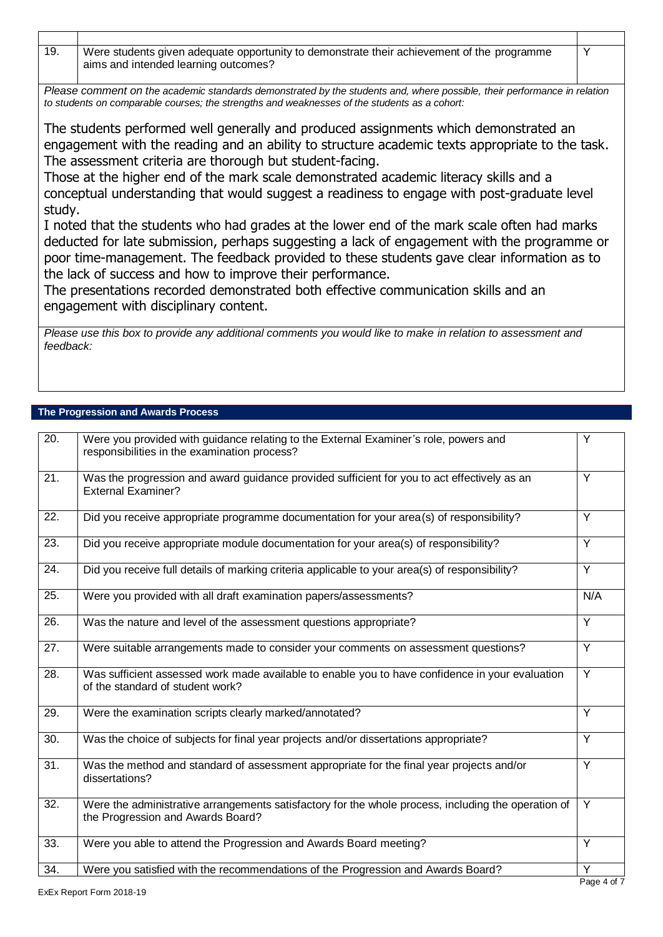| 19.                                                                                                                                                                                                                      | Were students given adequate opportunity to demonstrate their achievement of the programme<br>aims and intended learning outcomes? |  |
|--------------------------------------------------------------------------------------------------------------------------------------------------------------------------------------------------------------------------|------------------------------------------------------------------------------------------------------------------------------------|--|
| Please comment on the academic standards demonstrated by the students and, where possible, their performance in relation<br>to students on comparable courses; the strengths and weaknesses of the students as a cohort: |                                                                                                                                    |  |
| The students performed well generally and produced assignments which demonstrated an                                                                                                                                     |                                                                                                                                    |  |

The students performed well generally and produced assignments which demonstrated an engagement with the reading and an ability to structure academic texts appropriate to the task. The assessment criteria are thorough but student-facing.

Those at the higher end of the mark scale demonstrated academic literacy skills and a conceptual understanding that would suggest a readiness to engage with post-graduate level study.

I noted that the students who had grades at the lower end of the mark scale often had marks deducted for late submission, perhaps suggesting a lack of engagement with the programme or poor time-management. The feedback provided to these students gave clear information as to the lack of success and how to improve their performance.

The presentations recorded demonstrated both effective communication skills and an engagement with disciplinary content.

*Please use this box to provide any additional comments you would like to make in relation to assessment and feedback:*

### **The Progression and Awards Process**

| $\overline{20}$ . | Were you provided with guidance relating to the External Examiner's role, powers and<br>responsibilities in the examination process?     | Y                |
|-------------------|------------------------------------------------------------------------------------------------------------------------------------------|------------------|
| 21.               | Was the progression and award guidance provided sufficient for you to act effectively as an<br><b>External Examiner?</b>                 | $\overline{Y}$   |
| 22.               | Did you receive appropriate programme documentation for your area(s) of responsibility?                                                  | $\overline{Y}$   |
| 23.               | Did you receive appropriate module documentation for your area(s) of responsibility?                                                     | $\overline{Y}$   |
| $\overline{24}$ . | Did you receive full details of marking criteria applicable to your area(s) of responsibility?                                           | $\overline{Y}$   |
| 25.               | Were you provided with all draft examination papers/assessments?                                                                         | N/A              |
| 26.               | Was the nature and level of the assessment questions appropriate?                                                                        | Y                |
| 27.               | Were suitable arrangements made to consider your comments on assessment questions?                                                       | $\overline{Y}$   |
| $\overline{28}$ . | Was sufficient assessed work made available to enable you to have confidence in your evaluation<br>of the standard of student work?      | Y                |
| 29.               | Were the examination scripts clearly marked/annotated?                                                                                   | Y                |
| 30.               | Was the choice of subjects for final year projects and/or dissertations appropriate?                                                     | $\overline{Y}$   |
| $\overline{31}$ . | Was the method and standard of assessment appropriate for the final year projects and/or<br>dissertations?                               | Y                |
| 32.               | Were the administrative arrangements satisfactory for the whole process, including the operation of<br>the Progression and Awards Board? | Y                |
| 33.               | Were you able to attend the Progression and Awards Board meeting?                                                                        | $\overline{Y}$   |
| 34.               | Were you satisfied with the recommendations of the Progression and Awards Board?                                                         | Y<br>Page 4 of 7 |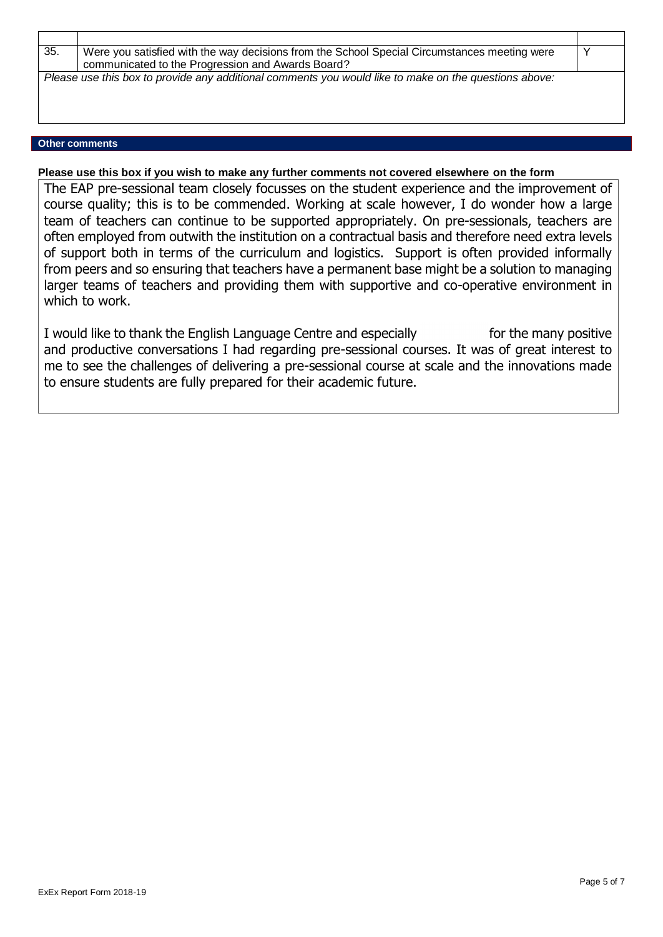| 35.                                                                                                   | Were you satisfied with the way decisions from the School Special Circumstances meeting were |  |
|-------------------------------------------------------------------------------------------------------|----------------------------------------------------------------------------------------------|--|
|                                                                                                       | communicated to the Progression and Awards Board?                                            |  |
| Please use this box to provide any additional comments you would like to make on the questions above: |                                                                                              |  |
|                                                                                                       |                                                                                              |  |
|                                                                                                       |                                                                                              |  |
|                                                                                                       |                                                                                              |  |
|                                                                                                       |                                                                                              |  |

### **Other comments**

### **Please use this box if you wish to make any further comments not covered elsewhere on the form**

The EAP pre-sessional team closely focusses on the student experience and the improvement of course quality; this is to be commended. Working at scale however, I do wonder how a large team of teachers can continue to be supported appropriately. On pre-sessionals, teachers are often employed from outwith the institution on a contractual basis and therefore need extra levels of support both in terms of the curriculum and logistics. Support is often provided informally from peers and so ensuring that teachers have a permanent base might be a solution to managing larger teams of teachers and providing them with supportive and co-operative environment in which to work.

I would like to thank the English Language Centre and especially for the many positive and productive conversations I had regarding pre-sessional courses. It was of great interest to me to see the challenges of delivering a pre-sessional course at scale and the innovations made to ensure students are fully prepared for their academic future.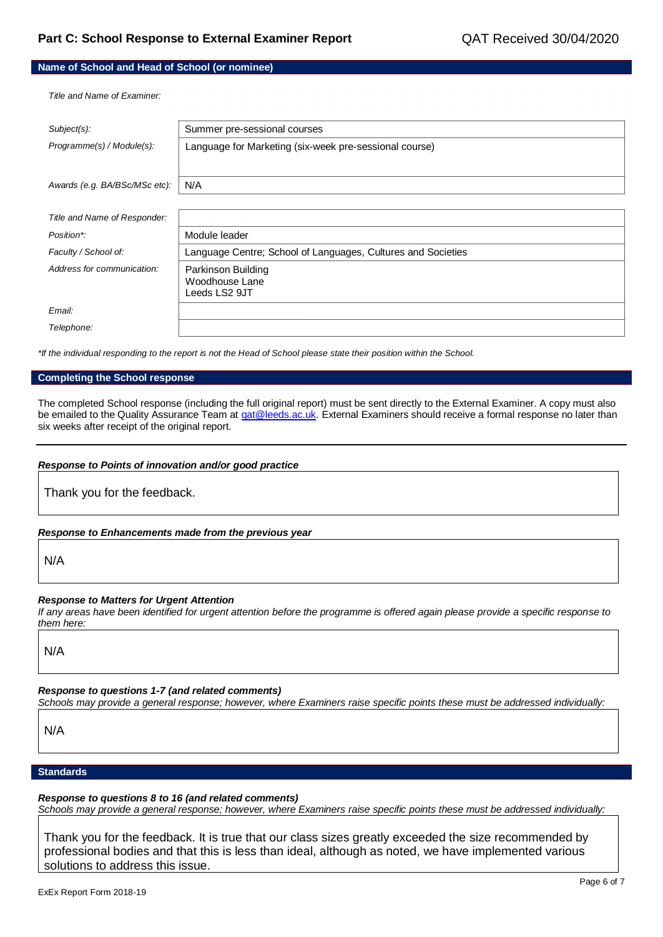### **Name of School and Head of School (or nominee)**

*Title and Name of Examiner:*

| Subject(s):                   | Summer pre-sessional courses                                 |
|-------------------------------|--------------------------------------------------------------|
| Programme(s) / Module(s):     | Language for Marketing (six-week pre-sessional course)       |
|                               |                                                              |
| Awards (e.g. BA/BSc/MSc etc): | N/A                                                          |
|                               |                                                              |
| Title and Name of Responder:  |                                                              |
| Position*:                    | Module leader                                                |
| Faculty / School of:          | Language Centre; School of Languages, Cultures and Societies |
| Address for communication:    | Parkinson Building                                           |
|                               | Woodhouse Lane<br>Leeds LS2 9JT                              |
|                               |                                                              |
| Email:                        |                                                              |
| Telephone:                    |                                                              |

*\*If the individual responding to the report is not the Head of School please state their position within the School.*

#### **Completing the School response**

The completed School response (including the full original report) must be sent directly to the External Examiner. A copy must also be emailed to the Quality Assurance Team a[t qat@leeds.ac.uk.](mailto:qat@leeds.ac.uk) External Examiners should receive a formal response no later than six weeks after receipt of the original report.

#### *Response to Points of innovation and/or good practice*

Thank you for the feedback.

#### *Response to Enhancements made from the previous year*

N/A

### *Response to Matters for Urgent Attention*

*If any areas have been identified for urgent attention before the programme is offered again please provide a specific response to them here:*

N/A

#### *Response to questions 1-7 (and related comments)*

*Schools may provide a general response; however, where Examiners raise specific points these must be addressed individually:*

N/A

**Standards**

*Response to questions 8 to 16 (and related comments)*

*Schools may provide a general response; however, where Examiners raise specific points these must be addressed individually:*

Thank you for the feedback. It is true that our class sizes greatly exceeded the size recommended by professional bodies and that this is less than ideal, although as noted, we have implemented various solutions to address this issue.